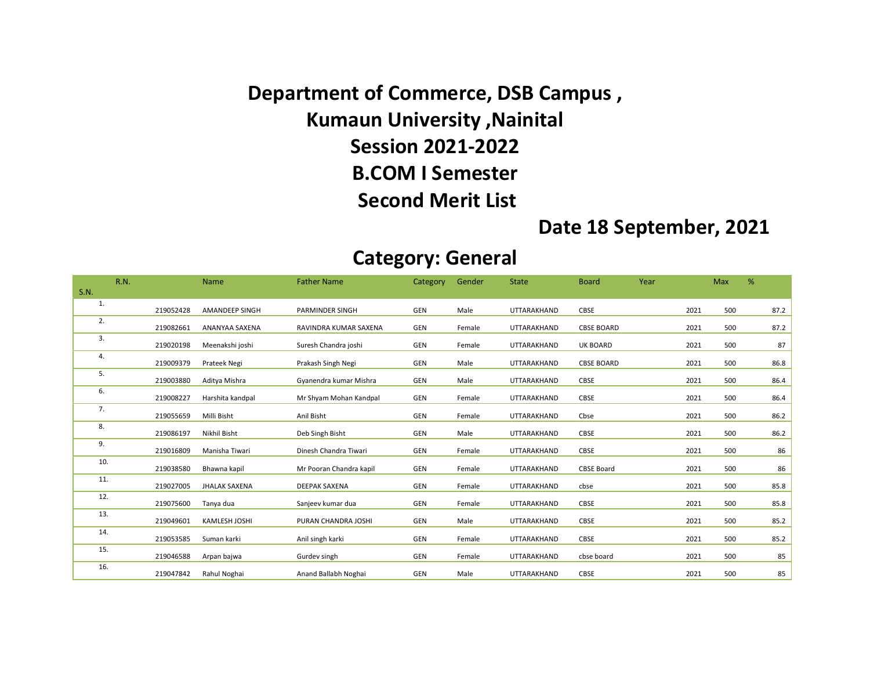Department of Commerce, DSB Campus , Kumaun University ,Nainital Session 2021-2022 B.COM I Semester Second Merit List

## Date 18 September, 2021

## Category: General

|             | <b>R.N.</b> |           | Name                  | <b>Father Name</b>      | <b>Category</b> | Gender | <b>State</b>       | <b>Board</b>      | Year |      | Max | %    |
|-------------|-------------|-----------|-----------------------|-------------------------|-----------------|--------|--------------------|-------------------|------|------|-----|------|
| <b>S.N.</b> |             |           |                       |                         |                 |        |                    |                   |      |      |     |      |
| 1.          |             | 219052428 | <b>AMANDEEP SINGH</b> | <b>PARMINDER SINGH</b>  | GEN             | Male   | UTTARAKHAND        | CBSE              |      | 2021 | 500 | 87.2 |
| 2.          |             | 219082661 | ANANYAA SAXENA        | RAVINDRA KUMAR SAXENA   | GEN             | Female | UTTARAKHAND        | <b>CBSE BOARD</b> |      | 2021 | 500 | 87.2 |
| 3.          |             | 219020198 | Meenakshi joshi       | Suresh Chandra joshi    | GEN             | Female | UTTARAKHAND        | <b>UK BOARD</b>   |      | 2021 | 500 | 87   |
| 4.          |             | 219009379 | Prateek Negi          | Prakash Singh Negi      | GEN             | Male   | UTTARAKHAND        | <b>CBSE BOARD</b> |      | 2021 | 500 | 86.8 |
| 5.          |             | 219003880 | Aditya Mishra         | Gyanendra kumar Mishra  | GEN             | Male   | UTTARAKHAND        | CBSE              |      | 2021 | 500 | 86.4 |
| 6.          |             | 219008227 | Harshita kandpal      | Mr Shyam Mohan Kandpal  | GEN             | Female | <b>UTTARAKHAND</b> | CBSE              |      | 2021 | 500 | 86.4 |
| 7.          |             | 219055659 | Milli Bisht           | Anil Bisht              | GEN             | Female | UTTARAKHAND        | Cbse              |      | 2021 | 500 | 86.2 |
| 8.          |             | 219086197 | Nikhil Bisht          | Deb Singh Bisht         | GEN             | Male   | UTTARAKHAND        | CBSE              |      | 2021 | 500 | 86.2 |
| 9.          |             | 219016809 | Manisha Tiwari        | Dinesh Chandra Tiwari   | GEN             | Female | UTTARAKHAND        | CBSE              |      | 2021 | 500 | 86   |
| 10.         |             | 219038580 | Bhawna kapil          | Mr Pooran Chandra kapil | GEN             | Female | UTTARAKHAND        | <b>CBSE Board</b> |      | 2021 | 500 | 86   |
| 11.         |             | 219027005 | <b>JHALAK SAXENA</b>  | <b>DEEPAK SAXENA</b>    | GEN             | Female | UTTARAKHAND        | cbse              |      | 2021 | 500 | 85.8 |
| 12.         |             | 219075600 | Tanya dua             | Sanjeev kumar dua       | GEN             | Female | <b>UTTARAKHAND</b> | CBSE              |      | 2021 | 500 | 85.8 |
| 13.         |             | 219049601 | <b>KAMLESH JOSHI</b>  | PURAN CHANDRA JOSHI     | GEN             | Male   | UTTARAKHAND        | CBSE              |      | 2021 | 500 | 85.2 |
| 14.         |             | 219053585 | Suman karki           | Anil singh karki        | GEN             | Female | UTTARAKHAND        | <b>CBSE</b>       |      | 2021 | 500 | 85.2 |
| 15.         |             | 219046588 | Arpan bajwa           | Gurdev singh            | GEN             | Female | UTTARAKHAND        | cbse board        |      | 2021 | 500 | 85   |
| 16.         |             | 219047842 | Rahul Noghai          | Anand Ballabh Noghai    | GEN             | Male   | <b>UTTARAKHAND</b> | CBSE              |      | 2021 | 500 | 85   |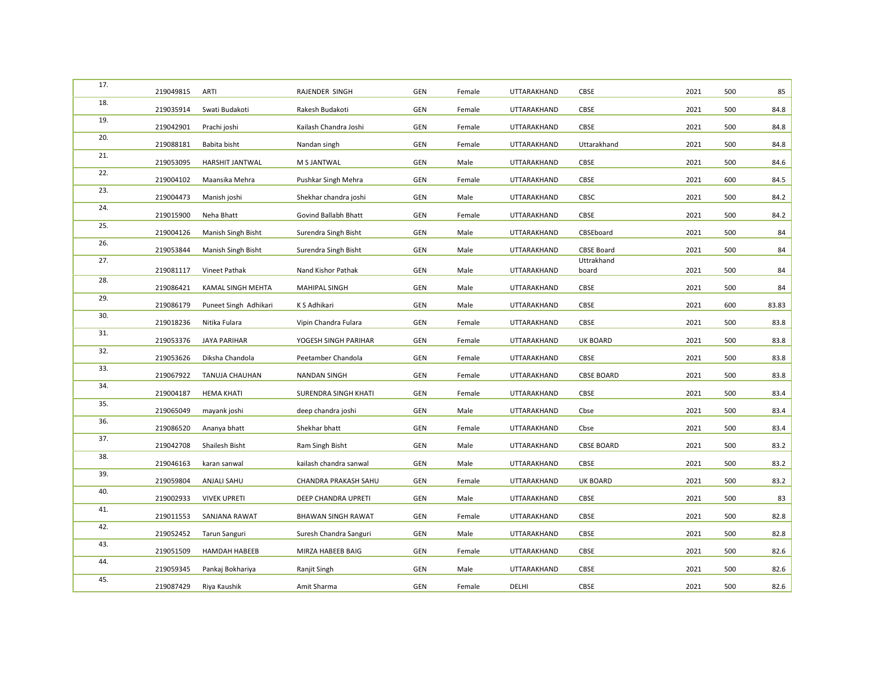| 17. | 219049815 | <b>ARTI</b>              | RAJENDER SINGH            | GEN        | Female | UTTARAKHAND | CBSE                | 2021 | 500 | 85    |
|-----|-----------|--------------------------|---------------------------|------------|--------|-------------|---------------------|------|-----|-------|
| 18. | 219035914 | Swati Budakoti           | Rakesh Budakoti           | GEN        | Female | UTTARAKHAND | CBSE                | 2021 | 500 | 84.8  |
| 19. | 219042901 | Prachi joshi             | Kailash Chandra Joshi     | <b>GEN</b> | Female | UTTARAKHAND | <b>CBSE</b>         | 2021 | 500 | 84.8  |
| 20. | 219088181 | Babita bisht             | Nandan singh              | <b>GEN</b> | Female | UTTARAKHAND | Uttarakhand         | 2021 | 500 | 84.8  |
| 21. | 219053095 | HARSHIT JANTWAL          | M S JANTWAL               | GEN        | Male   | UTTARAKHAND | CBSE                | 2021 | 500 | 84.6  |
| 22. | 219004102 | Maansika Mehra           | Pushkar Singh Mehra       | GEN        | Female | UTTARAKHAND | CBSE                | 2021 | 600 | 84.5  |
| 23. | 219004473 | Manish joshi             | Shekhar chandra joshi     | GEN        | Male   | UTTARAKHAND | CBSC                | 2021 | 500 | 84.2  |
| 24. | 219015900 | Neha Bhatt               | Govind Ballabh Bhatt      | GEN        | Female | UTTARAKHAND | CBSE                | 2021 | 500 | 84.2  |
| 25. | 219004126 | Manish Singh Bisht       | Surendra Singh Bisht      | GEN        | Male   | UTTARAKHAND | CBSEboard           | 2021 | 500 | 84    |
| 26. | 219053844 | Manish Singh Bisht       | Surendra Singh Bisht      | <b>GEN</b> | Male   | UTTARAKHAND | <b>CBSE Board</b>   | 2021 | 500 | 84    |
| 27. | 219081117 | Vineet Pathak            | Nand Kishor Pathak        | <b>GEN</b> | Male   | UTTARAKHAND | Uttrakhand<br>board | 2021 | 500 | 84    |
| 28. | 219086421 | <b>KAMAL SINGH MEHTA</b> | MAHIPAL SINGH             | GEN        | Male   | UTTARAKHAND | CBSE                | 2021 | 500 | 84    |
| 29. |           |                          |                           |            |        |             |                     | 2021 |     |       |
| 30. | 219086179 | Puneet Singh Adhikari    | K S Adhikari              | <b>GEN</b> | Male   | UTTARAKHAND | CBSE                |      | 600 | 83.83 |
| 31. | 219018236 | Nitika Fulara            | Vipin Chandra Fulara      | <b>GEN</b> | Female | UTTARAKHAND | CBSE                | 2021 | 500 | 83.8  |
| 32. | 219053376 | <b>JAYA PARIHAR</b>      | YOGESH SINGH PARIHAR      | <b>GEN</b> | Female | UTTARAKHAND | <b>UK BOARD</b>     | 2021 | 500 | 83.8  |
| 33. | 219053626 | Diksha Chandola          | Peetamber Chandola        | <b>GEN</b> | Female | UTTARAKHAND | CBSE                | 2021 | 500 | 83.8  |
|     | 219067922 | TANUJA CHAUHAN           | <b>NANDAN SINGH</b>       | <b>GEN</b> | Female | UTTARAKHAND | <b>CBSE BOARD</b>   | 2021 | 500 | 83.8  |
| 34. | 219004187 | <b>HEMA KHATI</b>        | SURENDRA SINGH KHATI      | GEN        | Female | UTTARAKHAND | <b>CBSE</b>         | 2021 | 500 | 83.4  |
| 35. | 219065049 | mayank joshi             | deep chandra joshi        | GEN        | Male   | UTTARAKHAND | Cbse                | 2021 | 500 | 83.4  |
| 36. | 219086520 | Ananya bhatt             | Shekhar bhatt             | GEN        | Female | UTTARAKHAND | Cbse                | 2021 | 500 | 83.4  |
| 37. | 219042708 | Shailesh Bisht           | Ram Singh Bisht           | GEN        | Male   | UTTARAKHAND | <b>CBSE BOARD</b>   | 2021 | 500 | 83.2  |
| 38. | 219046163 | karan sanwal             | kailash chandra sanwal    | GEN        | Male   | UTTARAKHAND | <b>CBSE</b>         | 2021 | 500 | 83.2  |
| 39. | 219059804 | ANJALI SAHU              | CHANDRA PRAKASH SAHU      | GEN        | Female | UTTARAKHAND | UK BOARD            | 2021 | 500 | 83.2  |
| 40. | 219002933 | <b>VIVEK UPRETI</b>      | DEEP CHANDRA UPRETI       | GEN        | Male   | UTTARAKHAND | CBSE                | 2021 | 500 | 83    |
| 41. | 219011553 | SANJANA RAWAT            | <b>BHAWAN SINGH RAWAT</b> | GEN        | Female | UTTARAKHAND | CBSE                | 2021 | 500 | 82.8  |
| 42. | 219052452 | <b>Tarun Sanguri</b>     | Suresh Chandra Sanguri    | GEN        | Male   | UTTARAKHAND | CBSE                | 2021 | 500 | 82.8  |
| 43. | 219051509 | <b>HAMDAH HABEEB</b>     | MIRZA HABEEB BAIG         | GEN        | Female | UTTARAKHAND | CBSE                | 2021 | 500 | 82.6  |
| 44. | 219059345 | Pankaj Bokhariya         | Ranjit Singh              | <b>GEN</b> | Male   | UTTARAKHAND | CBSE                | 2021 | 500 | 82.6  |
| 45. |           |                          |                           |            |        |             |                     |      |     |       |
|     | 219087429 | Riya Kaushik             | Amit Sharma               | GEN        | Female | DELHI       | CBSE                | 2021 | 500 | 82.6  |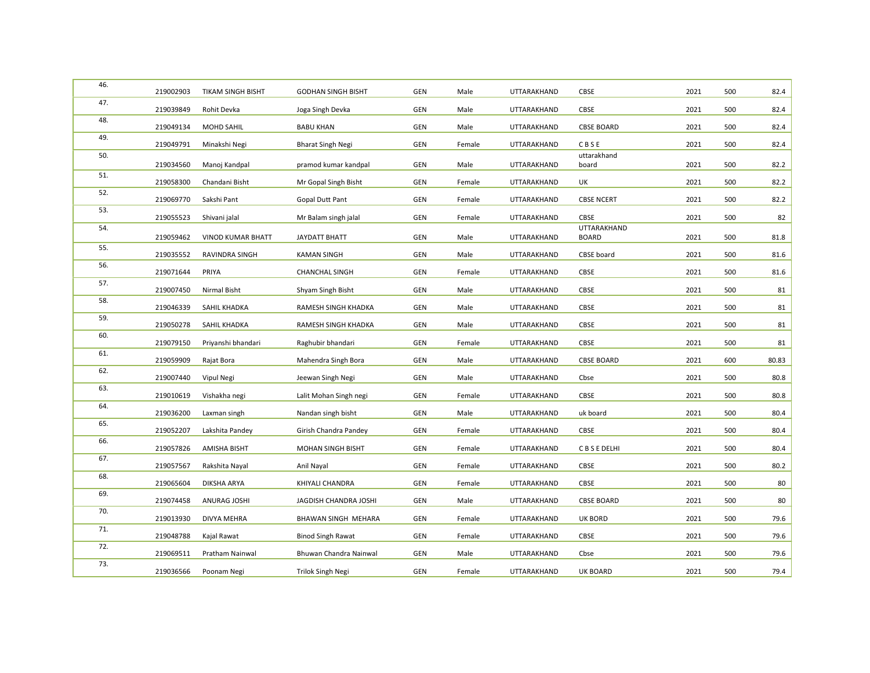| 46. | 219002903 | <b>TIKAM SINGH BISHT</b> | <b>GODHAN SINGH BISHT</b>  | GEN        | Male   | UTTARAKHAND | <b>CBSE</b>                 | 2021 | 500 | 82.4  |
|-----|-----------|--------------------------|----------------------------|------------|--------|-------------|-----------------------------|------|-----|-------|
| 47. | 219039849 | Rohit Devka              | Joga Singh Devka           | GEN        | Male   | UTTARAKHAND | CBSE                        | 2021 | 500 | 82.4  |
| 48. | 219049134 | <b>MOHD SAHIL</b>        | <b>BABU KHAN</b>           | <b>GEN</b> | Male   | UTTARAKHAND | <b>CBSE BOARD</b>           | 2021 | 500 | 82.4  |
| 49. | 219049791 | Minakshi Negi            | <b>Bharat Singh Negi</b>   | GEN        | Female | UTTARAKHAND | CBSE                        | 2021 | 500 | 82.4  |
| 50. | 219034560 | Manoj Kandpal            | pramod kumar kandpal       | GEN        | Male   | UTTARAKHAND | uttarakhand<br>board        | 2021 | 500 | 82.2  |
| 51. | 219058300 | Chandani Bisht           | Mr Gopal Singh Bisht       | GEN        | Female | UTTARAKHAND | UK                          | 2021 | 500 | 82.2  |
| 52. | 219069770 | Sakshi Pant              | <b>Gopal Dutt Pant</b>     | <b>GEN</b> | Female | UTTARAKHAND | <b>CBSE NCERT</b>           | 2021 | 500 | 82.2  |
| 53. | 219055523 | Shivani jalal            | Mr Balam singh jalal       | GEN        | Female | UTTARAKHAND | CBSE                        | 2021 | 500 | 82    |
| 54. | 219059462 | <b>VINOD KUMAR BHATT</b> | <b>JAYDATT BHATT</b>       | <b>GEN</b> | Male   | UTTARAKHAND | UTTARAKHAND<br><b>BOARD</b> | 2021 | 500 | 81.8  |
| 55. | 219035552 | <b>RAVINDRA SINGH</b>    | <b>KAMAN SINGH</b>         | GEN        | Male   | UTTARAKHAND | CBSE board                  | 2021 | 500 | 81.6  |
| 56. | 219071644 | PRIYA                    | <b>CHANCHAL SINGH</b>      | GEN        | Female | UTTARAKHAND | CBSE                        | 2021 | 500 | 81.6  |
| 57. | 219007450 | Nirmal Bisht             | Shyam Singh Bisht          | GEN        | Male   | UTTARAKHAND | CBSE                        | 2021 | 500 | 81    |
| 58. | 219046339 | SAHIL KHADKA             | RAMESH SINGH KHADKA        | <b>GEN</b> | Male   | UTTARAKHAND | CBSE                        | 2021 | 500 | 81    |
| 59. | 219050278 | SAHIL KHADKA             | RAMESH SINGH KHADKA        | <b>GEN</b> | Male   | UTTARAKHAND | CBSE                        | 2021 | 500 | 81    |
| 60. | 219079150 | Priyanshi bhandari       | Raghubir bhandari          | GEN        | Female | UTTARAKHAND | CBSE                        | 2021 | 500 | 81    |
| 61. | 219059909 | Rajat Bora               | Mahendra Singh Bora        | GEN        | Male   | UTTARAKHAND | <b>CBSE BOARD</b>           | 2021 | 600 | 80.83 |
| 62. | 219007440 | Vipul Negi               | Jeewan Singh Negi          | GEN        | Male   | UTTARAKHAND | Cbse                        | 2021 | 500 | 80.8  |
| 63. | 219010619 | Vishakha negi            | Lalit Mohan Singh negi     | <b>GEN</b> | Female | UTTARAKHAND | CBSE                        | 2021 | 500 | 80.8  |
| 64. | 219036200 | Laxman singh             | Nandan singh bisht         | GEN        | Male   | UTTARAKHAND | uk board                    | 2021 | 500 | 80.4  |
| 65. | 219052207 | Lakshita Pandey          | Girish Chandra Pandey      | <b>GEN</b> | Female | UTTARAKHAND | CBSE                        | 2021 | 500 | 80.4  |
| 66. | 219057826 | AMISHA BISHT             | MOHAN SINGH BISHT          | GEN        | Female | UTTARAKHAND | C B S E DELHI               | 2021 | 500 | 80.4  |
| 67. | 219057567 | Rakshita Nayal           | Anil Nayal                 | <b>GEN</b> | Female | UTTARAKHAND | CBSE                        | 2021 | 500 | 80.2  |
| 68. | 219065604 | DIKSHA ARYA              | KHIYALI CHANDRA            | <b>GEN</b> | Female | UTTARAKHAND | CBSE                        | 2021 | 500 | 80    |
| 69. | 219074458 | <b>ANURAG JOSHI</b>      | JAGDISH CHANDRA JOSHI      | <b>GEN</b> | Male   | UTTARAKHAND | <b>CBSE BOARD</b>           | 2021 | 500 | 80    |
| 70. | 219013930 | DIVYA MEHRA              | <b>BHAWAN SINGH MEHARA</b> | GEN        | Female | UTTARAKHAND | <b>UK BORD</b>              | 2021 | 500 | 79.6  |
| 71. | 219048788 | Kajal Rawat              | <b>Binod Singh Rawat</b>   | <b>GEN</b> | Female | UTTARAKHAND | <b>CBSE</b>                 | 2021 | 500 | 79.6  |
| 72. | 219069511 | Pratham Nainwal          | Bhuwan Chandra Nainwal     | <b>GEN</b> | Male   | UTTARAKHAND | Cbse                        | 2021 | 500 | 79.6  |
| 73. | 219036566 | Poonam Negi              | Trilok Singh Negi          | <b>GEN</b> | Female | UTTARAKHAND | UK BOARD                    | 2021 | 500 | 79.4  |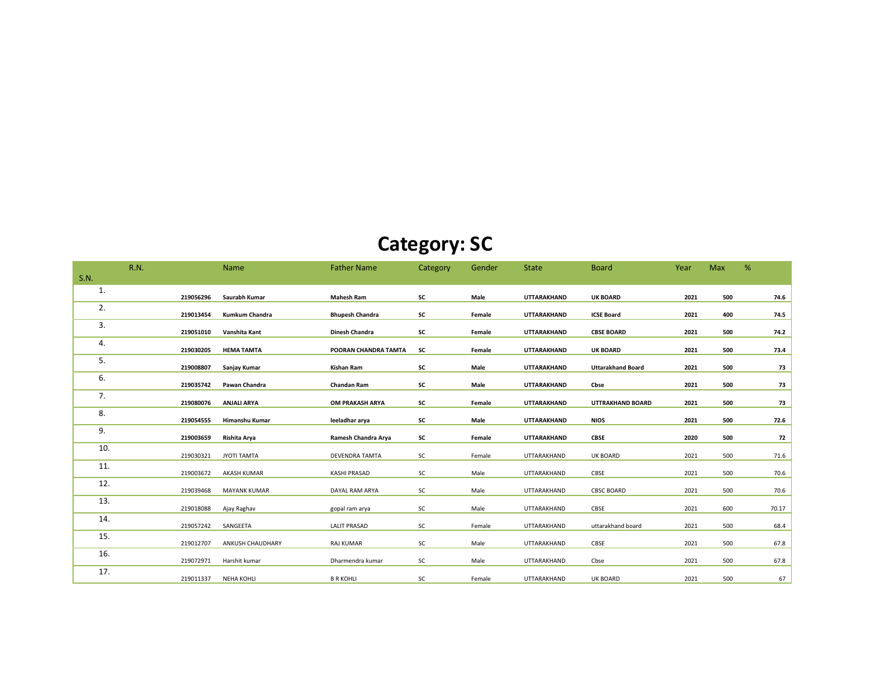## Category: SC

|                                  |                                                                                                                                                                   | Max                                                  | %                                                    |
|----------------------------------|-------------------------------------------------------------------------------------------------------------------------------------------------------------------|------------------------------------------------------|------------------------------------------------------|
|                                  |                                                                                                                                                                   |                                                      |                                                      |
| UTTARAKHAND<br><b>UK BOARD</b>   | 2021                                                                                                                                                              | 500                                                  | 74.6                                                 |
| <b>ICSE Board</b><br>UTTARAKHAND | 2021                                                                                                                                                              | 400                                                  | 74.5                                                 |
| UTTARAKHAND<br><b>CBSE BOARD</b> | 2021                                                                                                                                                              | 500                                                  | 74.2                                                 |
| UTTARAKHAND<br><b>UK BOARD</b>   | 2021                                                                                                                                                              | 500                                                  | 73.4                                                 |
| UTTARAKHAND                      |                                                                                                                                                                   |                                                      | 73                                                   |
| UTTARAKHAND                      |                                                                                                                                                                   |                                                      | 73                                                   |
| UTTARAKHAND                      |                                                                                                                                                                   |                                                      | 73                                                   |
|                                  |                                                                                                                                                                   |                                                      | 72.6                                                 |
|                                  |                                                                                                                                                                   |                                                      | 72                                                   |
|                                  |                                                                                                                                                                   |                                                      |                                                      |
|                                  |                                                                                                                                                                   |                                                      | 71.6                                                 |
| UTTARAKHAND                      |                                                                                                                                                                   |                                                      | 70.6                                                 |
| UTTARAKHAND<br><b>CBSC BOARD</b> | 2021                                                                                                                                                              | 500                                                  | 70.6                                                 |
| UTTARAKHAND<br>CBSE              | 2021                                                                                                                                                              | 600                                                  | 70.17                                                |
| uttarakhand board<br>UTTARAKHAND | 2021                                                                                                                                                              | 500                                                  | 68.4                                                 |
| CBSE<br>UTTARAKHAND              | 2021                                                                                                                                                              | 500                                                  | 67.8                                                 |
| UTTARAKHAND<br>Cbse              | 2021                                                                                                                                                              |                                                      | 67.8                                                 |
| <b>UK BOARD</b><br>UTTARAKHAND   | 2021                                                                                                                                                              | 500                                                  | 67                                                   |
|                                  | <b>Uttarakhand Board</b><br>Cbse<br><b>UTTRAKHAND BOARD</b><br><b>NIOS</b><br>UTTARAKHAND<br>UTTARAKHAND<br><b>CBSE</b><br>UTTARAKHAND<br><b>UK BOARD</b><br>CBSE | 2021<br>2021<br>2021<br>2021<br>2020<br>2021<br>2021 | 500<br>500<br>500<br>500<br>500<br>500<br>500<br>500 |